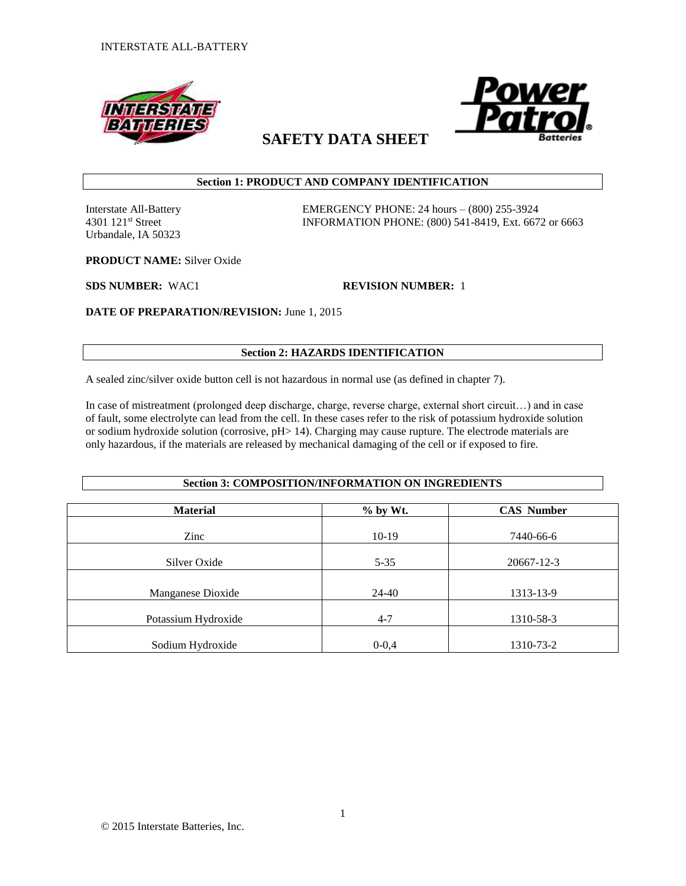



# **SAFETY DATA SHEET**

## **Section 1: PRODUCT AND COMPANY IDENTIFICATION**

Urbandale, IA 50323

Interstate All-Battery EMERGENCY PHONE: 24 hours – (800) 255-3924 4301 121st Street INFORMATION PHONE: (800) 541-8419, Ext. 6672 or 6663

**PRODUCT NAME:** Silver Oxide

**SDS NUMBER:** WAC1 **REVISION NUMBER:** 1

**DATE OF PREPARATION/REVISION:** June 1, 2015

## **Section 2: HAZARDS IDENTIFICATION**

A sealed zinc/silver oxide button cell is not hazardous in normal use (as defined in chapter 7).

In case of mistreatment (prolonged deep discharge, charge, reverse charge, external short circuit…) and in case of fault, some electrolyte can lead from the cell. In these cases refer to the risk of potassium hydroxide solution or sodium hydroxide solution (corrosive, pH> 14). Charging may cause rupture. The electrode materials are only hazardous, if the materials are released by mechanical damaging of the cell or if exposed to fire.

**Section 3: COMPOSITION/INFORMATION ON INGREDIENTS**

| <b>Material</b>     | $%$ by Wt. | <b>CAS</b> Number |
|---------------------|------------|-------------------|
|                     |            |                   |
| Zinc                | $10-19$    | 7440-66-6         |
| Silver Oxide        | $5 - 35$   | 20667-12-3        |
|                     |            |                   |
| Manganese Dioxide   | 24-40      | 1313-13-9         |
|                     |            |                   |
| Potassium Hydroxide | $4 - 7$    | 1310-58-3         |
|                     |            |                   |
| Sodium Hydroxide    | $0 - 0,4$  | 1310-73-2         |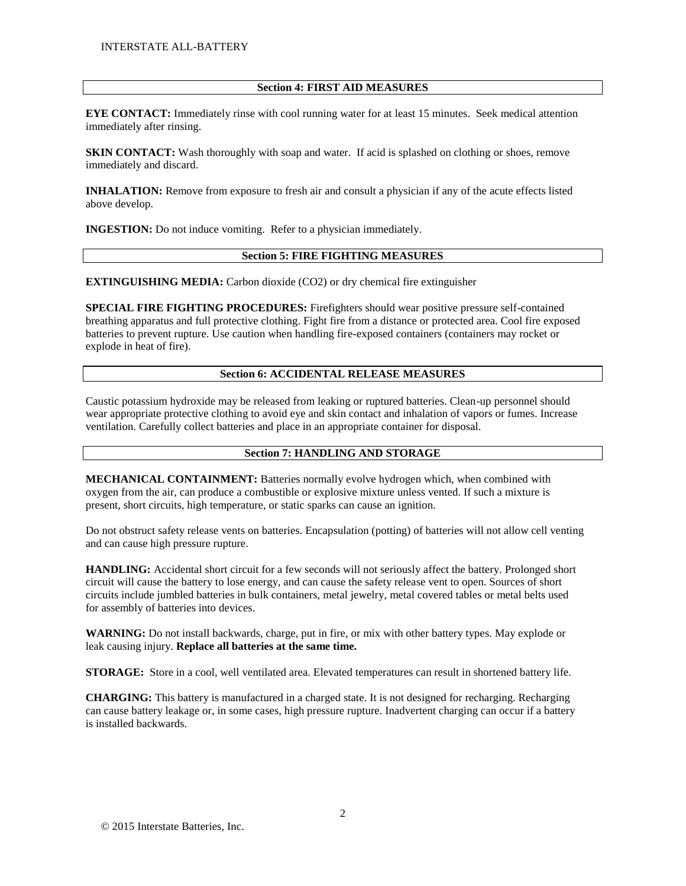### **Section 4: FIRST AID MEASURES**

**EYE CONTACT:** Immediately rinse with cool running water for at least 15 minutes. Seek medical attention immediately after rinsing.

**SKIN CONTACT:** Wash thoroughly with soap and water. If acid is splashed on clothing or shoes, remove immediately and discard.

**INHALATION:** Remove from exposure to fresh air and consult a physician if any of the acute effects listed above develop.

**INGESTION:** Do not induce vomiting. Refer to a physician immediately.

## **Section 5: FIRE FIGHTING MEASURES**

**EXTINGUISHING MEDIA:** Carbon dioxide (CO2) or dry chemical fire extinguisher

**SPECIAL FIRE FIGHTING PROCEDURES:** Firefighters should wear positive pressure self-contained breathing apparatus and full protective clothing. Fight fire from a distance or protected area. Cool fire exposed batteries to prevent rupture. Use caution when handling fire-exposed containers (containers may rocket or explode in heat of fire).

### **Section 6: ACCIDENTAL RELEASE MEASURES**

Caustic potassium hydroxide may be released from leaking or ruptured batteries. Clean-up personnel should wear appropriate protective clothing to avoid eye and skin contact and inhalation of vapors or fumes. Increase ventilation. Carefully collect batteries and place in an appropriate container for disposal.

#### **Section 7: HANDLING AND STORAGE**

**MECHANICAL CONTAINMENT:** Batteries normally evolve hydrogen which, when combined with oxygen from the air, can produce a combustible or explosive mixture unless vented. If such a mixture is present, short circuits, high temperature, or static sparks can cause an ignition.

Do not obstruct safety release vents on batteries. Encapsulation (potting) of batteries will not allow cell venting and can cause high pressure rupture.

**HANDLING:** Accidental short circuit for a few seconds will not seriously affect the battery. Prolonged short circuit will cause the battery to lose energy, and can cause the safety release vent to open. Sources of short circuits include jumbled batteries in bulk containers, metal jewelry, metal covered tables or metal belts used for assembly of batteries into devices.

**WARNING:** Do not install backwards, charge, put in fire, or mix with other battery types. May explode or leak causing injury. **Replace all batteries at the same time.**

**STORAGE:** Store in a cool, well ventilated area. Elevated temperatures can result in shortened battery life.

**CHARGING:** This battery is manufactured in a charged state. It is not designed for recharging. Recharging can cause battery leakage or, in some cases, high pressure rupture. Inadvertent charging can occur if a battery is installed backwards.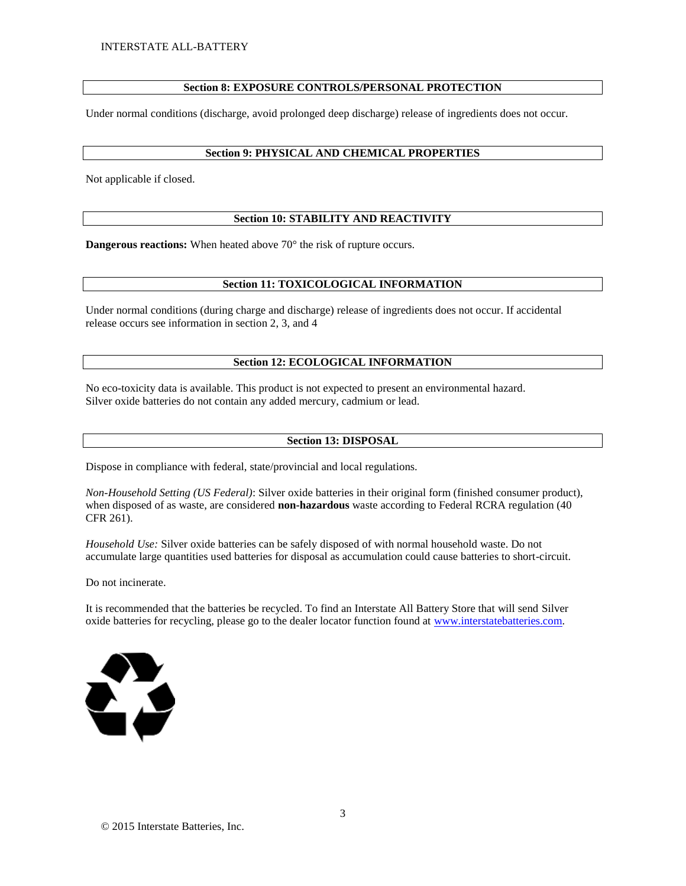## **Section 8: EXPOSURE CONTROLS/PERSONAL PROTECTION**

Under normal conditions (discharge, avoid prolonged deep discharge) release of ingredients does not occur.

#### **Section 9: PHYSICAL AND CHEMICAL PROPERTIES**

Not applicable if closed.

## **Section 10: STABILITY AND REACTIVITY**

**Dangerous reactions:** When heated above 70° the risk of rupture occurs.

## **Section 11: TOXICOLOGICAL INFORMATION**

Under normal conditions (during charge and discharge) release of ingredients does not occur. If accidental release occurs see information in section 2, 3, and 4

#### **Section 12: ECOLOGICAL INFORMATION**

No eco-toxicity data is available. This product is not expected to present an environmental hazard. Silver oxide batteries do not contain any added mercury, cadmium or lead.

#### **Section 13: DISPOSAL**

Dispose in compliance with federal, state/provincial and local regulations.

*Non-Household Setting (US Federal)*: Silver oxide batteries in their original form (finished consumer product), when disposed of as waste, are considered **non-hazardous** waste according to Federal RCRA regulation (40 CFR 261).

*Household Use:* Silver oxide batteries can be safely disposed of with normal household waste. Do not accumulate large quantities used batteries for disposal as accumulation could cause batteries to short-circuit.

Do not incinerate.

It is recommended that the batteries be recycled. To find an Interstate All Battery Store that will send Silver oxide batteries for recycling, please go to the dealer locator function found at [www.interstatebatteries.com.](http://www.interstatebatteries.com/)